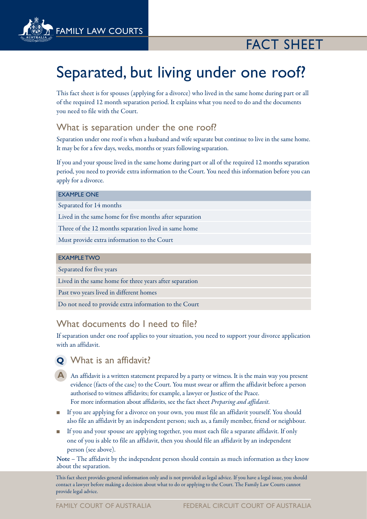

# fact sheet

# Separated, but living under one roof?

This fact sheet is for spouses (applying for a divorce) who lived in the same home during part or all of the required 12 month separation period. It explains what you need to do and the documents you need to file with the Court.

## What is separation under the one roof?

Separation under one roof is when a husband and wife separate but continue to live in the same home. It may be for a few days, weeks, months or years following separation.

If you and your spouse lived in the same home during part or all of the required 12 months separation period, you need to provide extra information to the Court. You need this information before you can apply for a divorce.

#### Example one

Separated for 14 months

Lived in the same home for five months after separation

Three of the 12 months separation lived in same home

Must provide extra information to the Court

#### Example two

Separated for five years

Lived in the same home for three years after separation

Past two years lived in different homes

Do not need to provide extra information to the Court

## What documents do I need to file?

If separation under one roof applies to your situation, you need to support your divorce application with an affidavit.

# **Q** What is an affidavit?

- A An affidavit is a written statement prepared by a party or witness. It is the main way you present evidence (facts of the case) to the Court. You must swear or affirm the affidavit before a person authorised to witness affidavits; for example, a lawyer or Justice of the Peace. For more information about affidavits, see the fact sheet *Preparing and affidavit*.
- <sup>n</sup> If you are applying for a divorce on your own, you must file an affidavit yourself. You should also file an affidavit by an independent person; such as, a family member, friend or neighbour.
- <sup>n</sup> If you and your spouse are applying together, you must each file a separate affidavit. If only one of you is able to file an affidavit, then you should file an affidavit by an independent person (see above).

Note – The affidavit by the independent person should contain as much information as they know about the separation.

This fact sheet provides general information only and is not provided as legal advice. If you have a legal issue, you should contact a lawyer before making a decision about what to do or applying to the Court. The Family Law Courts cannot provide legal advice.